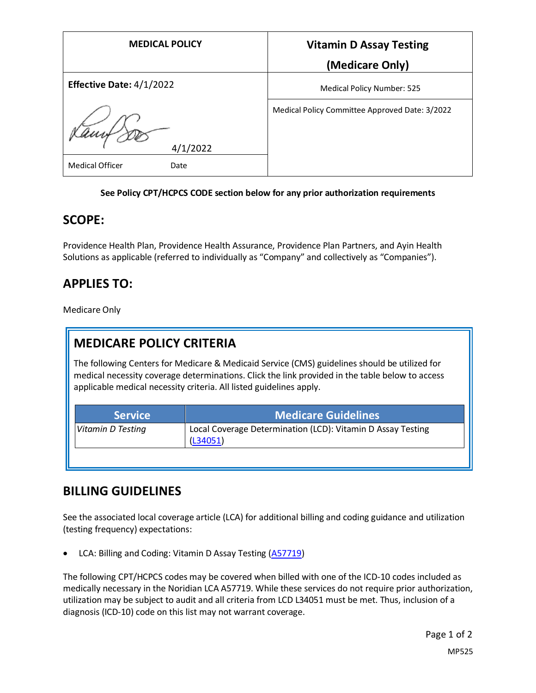| <b>MEDICAL POLICY</b>          | <b>Vitamin D Assay Testing</b>                 |
|--------------------------------|------------------------------------------------|
|                                | (Medicare Only)                                |
| Effective Date: 4/1/2022       | <b>Medical Policy Number: 525</b>              |
| 4/1/2022                       | Medical Policy Committee Approved Date: 3/2022 |
| <b>Medical Officer</b><br>Date |                                                |

#### **See Policy CPT/HCPCS CODE section below for any prior authorization requirements**

### **SCOPE:**

Providence Health Plan, Providence Health Assurance, Providence Plan Partners, and Ayin Health Solutions as applicable (referred to individually as "Company" and collectively as "Companies").

## **APPLIES TO:**

Medicare Only

## **MEDICARE POLICY CRITERIA**

The following Centers for Medicare & Medicaid Service (CMS) guidelines should be utilized for medical necessity coverage determinations. Click the link provided in the table below to access applicable medical necessity criteria. All listed guidelines apply.

| <b>Service</b>    | <b>Medicare Guidelines</b>                                              |
|-------------------|-------------------------------------------------------------------------|
| Vitamin D Testing | Local Coverage Determination (LCD): Vitamin D Assay Testing<br>(L34051) |
|                   |                                                                         |

### **BILLING GUIDELINES**

See the associated local coverage article (LCA) for additional billing and coding guidance and utilization (testing frequency) expectations:

• LCA: Billing and Coding: Vitamin D Assay Testing [\(A57719\)](https://www.cms.gov/medicare-coverage-database/view/article.aspx?articleId=57719)

The following CPT/HCPCS codes may be covered when billed with one of the ICD-10 codes included as medically necessary in the Noridian LCA A57719. While these services do not require prior authorization, utilization may be subject to audit and all criteria from LCD L34051 must be met. Thus, inclusion of a diagnosis (ICD-10) code on this list may not warrant coverage.